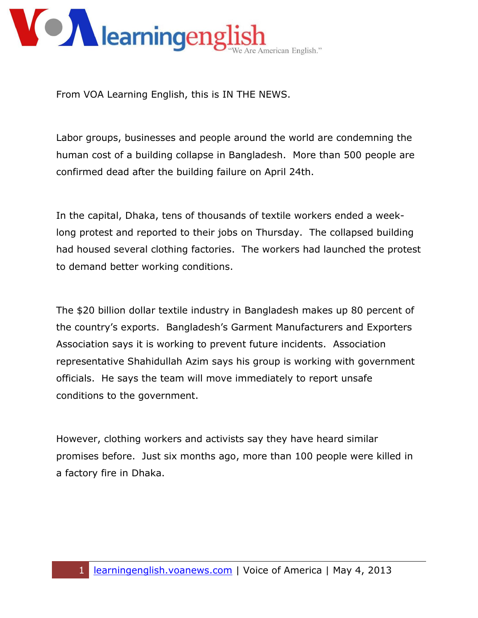

From VOA Learning English, this is IN THE NEWS.

Labor groups, businesses and people around the world are condemning the human cost of a building collapse in Bangladesh. More than 500 people are confirmed dead after the building failure on April 24th.

In the capital, Dhaka, tens of thousands of textile workers ended a weeklong protest and reported to their jobs on Thursday. The collapsed building had housed several clothing factories. The workers had launched the protest to demand better working conditions.

The \$20 billion dollar textile industry in Bangladesh makes up 80 percent of the country's exports. Bangladesh's Garment Manufacturers and Exporters Association says it is working to prevent future incidents. Association representative Shahidullah Azim says his group is working with government officials. He says the team will move immediately to report unsafe conditions to the government.

However, clothing workers and activists say they have heard similar promises before. Just six months ago, more than 100 people were killed in a factory fire in Dhaka.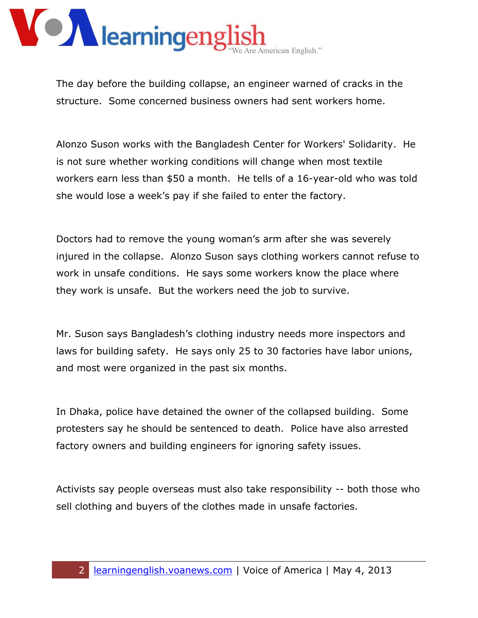

The day before the building collapse, an engineer warned of cracks in the structure. Some concerned business owners had sent workers home.

Alonzo Suson works with the Bangladesh Center for Workers' Solidarity. He is not sure whether working conditions will change when most textile workers earn less than \$50 a month. He tells of a 16-year-old who was told she would lose a week's pay if she failed to enter the factory.

Doctors had to remove the young woman's arm after she was severely injured in the collapse. Alonzo Suson says clothing workers cannot refuse to work in unsafe conditions. He says some workers know the place where they work is unsafe. But the workers need the job to survive.

Mr. Suson says Bangladesh's clothing industry needs more inspectors and laws for building safety. He says only 25 to 30 factories have labor unions, and most were organized in the past six months.

In Dhaka, police have detained the owner of the collapsed building. Some protesters say he should be sentenced to death. Police have also arrested factory owners and building engineers for ignoring safety issues.

Activists say people overseas must also take responsibility -- both those who sell clothing and buyers of the clothes made in unsafe factories.